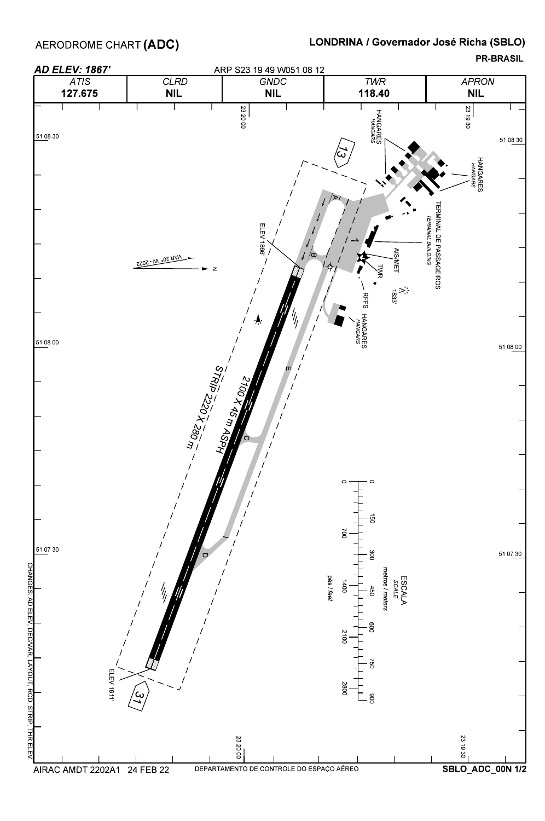AERODROME CHART **(ADC)** 

CHANGES:AD

## LONDRINA / Governador José Richa (SBLO)